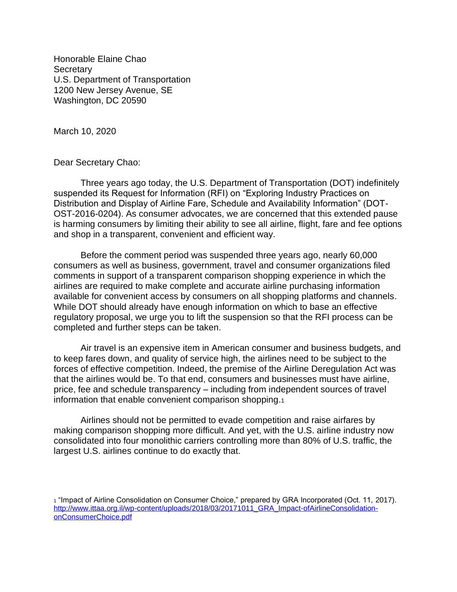Honorable Elaine Chao **Secretary** U.S. Department of Transportation 1200 New Jersey Avenue, SE Washington, DC 20590

March 10, 2020

Dear Secretary Chao:

Three years ago today, the U.S. Department of Transportation (DOT) indefinitely suspended its Request for Information (RFI) on "Exploring Industry Practices on Distribution and Display of Airline Fare, Schedule and Availability Information" (DOT-OST-2016-0204). As consumer advocates, we are concerned that this extended pause is harming consumers by limiting their ability to see all airline, flight, fare and fee options and shop in a transparent, convenient and efficient way.

Before the comment period was suspended three years ago, nearly 60,000 consumers as well as business, government, travel and consumer organizations filed comments in support of a transparent comparison shopping experience in which the airlines are required to make complete and accurate airline purchasing information available for convenient access by consumers on all shopping platforms and channels. While DOT should already have enough information on which to base an effective regulatory proposal, we urge you to lift the suspension so that the RFI process can be completed and further steps can be taken.

Air travel is an expensive item in American consumer and business budgets, and to keep fares down, and quality of service high, the airlines need to be subject to the forces of effective competition. Indeed, the premise of the Airline Deregulation Act was that the airlines would be. To that end, consumers and businesses must have airline, price, fee and schedule transparency – including from independent sources of travel information that enable convenient comparison shopping.<sup>1</sup>

Airlines should not be permitted to evade competition and raise airfares by making comparison shopping more difficult. And yet, with the U.S. airline industry now consolidated into four monolithic carriers controlling more than 80% of U.S. traffic, the largest U.S. airlines continue to do exactly that.

<sup>1</sup> "Impact of Airline Consolidation on Consumer Choice," prepared by GRA Incorporated (Oct. 11, 2017). [http://www.ittaa.org.il/wp-content/uploads/2018/03/20171011\\_GRA\\_Impact-ofAirlineConsolidation](http://www.ittaa.org.il/wp-content/uploads/2018/03/20171011_GRA_Impact-ofAirlineConsolidation-onConsumerChoice.pdf)[onConsumerChoice.pdf](http://www.ittaa.org.il/wp-content/uploads/2018/03/20171011_GRA_Impact-ofAirlineConsolidation-onConsumerChoice.pdf)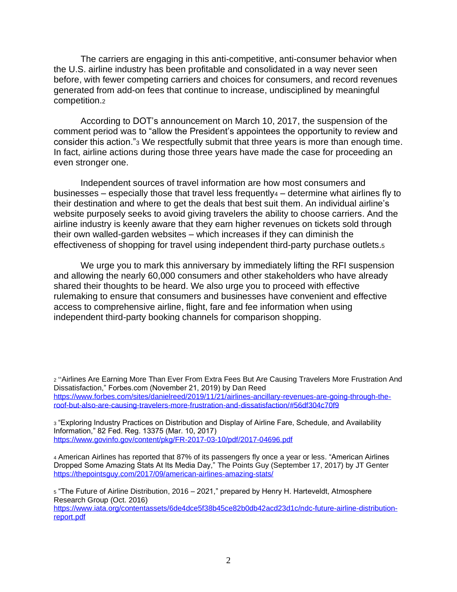The carriers are engaging in this anti-competitive, anti-consumer behavior when the U.S. airline industry has been profitable and consolidated in a way never seen before, with fewer competing carriers and choices for consumers, and record revenues generated from add-on fees that continue to increase, undisciplined by meaningful competition.<sup>2</sup>

According to DOT's announcement on March 10, 2017, the suspension of the comment period was to "allow the President's appointees the opportunity to review and consider this action."<sup>3</sup> We respectfully submit that three years is more than enough time. In fact, airline actions during those three years have made the case for proceeding an even stronger one.

Independent sources of travel information are how most consumers and businesses – especially those that travel less frequently $4$  – determine what airlines fly to their destination and where to get the deals that best suit them. An individual airline's website purposely seeks to avoid giving travelers the ability to choose carriers. And the airline industry is keenly aware that they earn higher revenues on tickets sold through their own walled-garden websites – which increases if they can diminish the effectiveness of shopping for travel using independent third-party purchase outlets.<sup>5</sup>

We urge you to mark this anniversary by immediately lifting the RFI suspension and allowing the nearly 60,000 consumers and other stakeholders who have already shared their thoughts to be heard. We also urge you to proceed with effective rulemaking to ensure that consumers and businesses have convenient and effective access to comprehensive airline, flight, fare and fee information when using independent third-party booking channels for comparison shopping.

<sup>2</sup> "Airlines Are Earning More Than Ever From Extra Fees But Are Causing Travelers More Frustration And Dissatisfaction," Forbes.com (November 21, 2019) by Dan Reed [https://www.forbes.com/sites/danielreed/2019/11/21/airlines-ancillary-revenues-are-going-through-the](https://www.forbes.com/sites/danielreed/2019/11/21/airlines-ancillary-revenues-are-going-through-the-roof-but-also-are-causing-travelers-more-frustration-and-dissatisfaction/#56df304c70f9)[roof-but-also-are-causing-travelers-more-frustration-and-dissatisfaction/#56df304c70f9](https://www.forbes.com/sites/danielreed/2019/11/21/airlines-ancillary-revenues-are-going-through-the-roof-but-also-are-causing-travelers-more-frustration-and-dissatisfaction/#56df304c70f9)

<sup>3</sup> "Exploring Industry Practices on Distribution and Display of Airline Fare, Schedule, and Availability Information," 82 Fed. Reg. 13375 (Mar. 10, 2017) <https://www.govinfo.gov/content/pkg/FR-2017-03-10/pdf/2017-04696.pdf>

<sup>4</sup> American Airlines has reported that 87% of its passengers fly once a year or less. "American Airlines Dropped Some Amazing Stats At Its Media Day," The Points Guy (September 17, 2017) by JT Genter <https://thepointsguy.com/2017/09/american-airlines-amazing-stats/>

<sup>5</sup> "The Future of Airline Distribution, 2016 – 2021," prepared by Henry H. Harteveldt, Atmosphere Research Group (Oct. 2016)

[https://www.iata.org/contentassets/6de4dce5f38b45ce82b0db42acd23d1c/ndc-future-airline-distribution](https://www.iata.org/contentassets/6de4dce5f38b45ce82b0db42acd23d1c/ndc-future-airline-distribution-report.pdf)[report.pdf](https://www.iata.org/contentassets/6de4dce5f38b45ce82b0db42acd23d1c/ndc-future-airline-distribution-report.pdf)